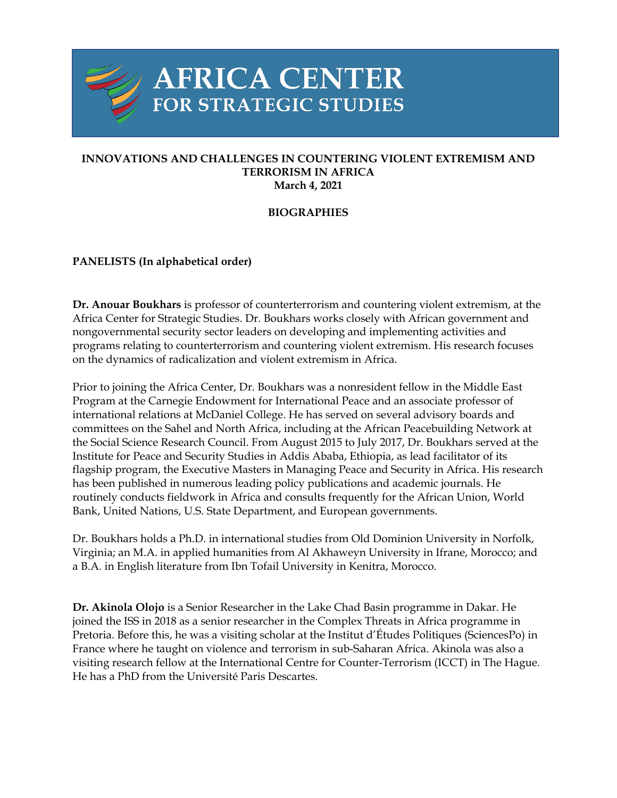

## **INNOVATIONS AND CHALLENGES IN COUNTERING VIOLENT EXTREMISM AND TERRORISM IN AFRICA March 4, 2021**

## **BIOGRAPHIES**

## **PANELISTS (In alphabetical order)**

**Dr. Anouar Boukhars** is professor of counterterrorism and countering violent extremism, at the Africa Center for Strategic Studies. Dr. Boukhars works closely with African government and nongovernmental security sector leaders on developing and implementing activities and programs relating to counterterrorism and countering violent extremism. His research focuses on the dynamics of radicalization and violent extremism in Africa.

Prior to joining the Africa Center, Dr. Boukhars was a nonresident fellow in the Middle East Program at the Carnegie Endowment for International Peace and an associate professor of international relations at McDaniel College. He has served on several advisory boards and committees on the Sahel and North Africa, including at the African Peacebuilding Network at the Social Science Research Council. From August 2015 to July 2017, Dr. Boukhars served at the Institute for Peace and Security Studies in Addis Ababa, Ethiopia, as lead facilitator of its flagship program, the Executive Masters in Managing Peace and Security in Africa. His research has been published in numerous leading policy publications and academic journals. He routinely conducts fieldwork in Africa and consults frequently for the African Union, World Bank, United Nations, U.S. State Department, and European governments.

Dr. Boukhars holds a Ph.D. in international studies from Old Dominion University in Norfolk, Virginia; an M.A. in applied humanities from Al Akhaweyn University in Ifrane, Morocco; and a B.A. in English literature from Ibn Tofail University in Kenitra, Morocco.

**Dr. Akinola Olojo** is a Senior Researcher in the Lake Chad Basin programme in Dakar. He joined the ISS in 2018 as a senior researcher in the Complex Threats in Africa programme in Pretoria. Before this, he was a visiting scholar at the Institut d'Études Politiques (SciencesPo) in France where he taught on violence and terrorism in sub-Saharan Africa. Akinola was also a visiting research fellow at the International Centre for Counter-Terrorism (ICCT) in The Hague. He has a PhD from the Université Paris Descartes.